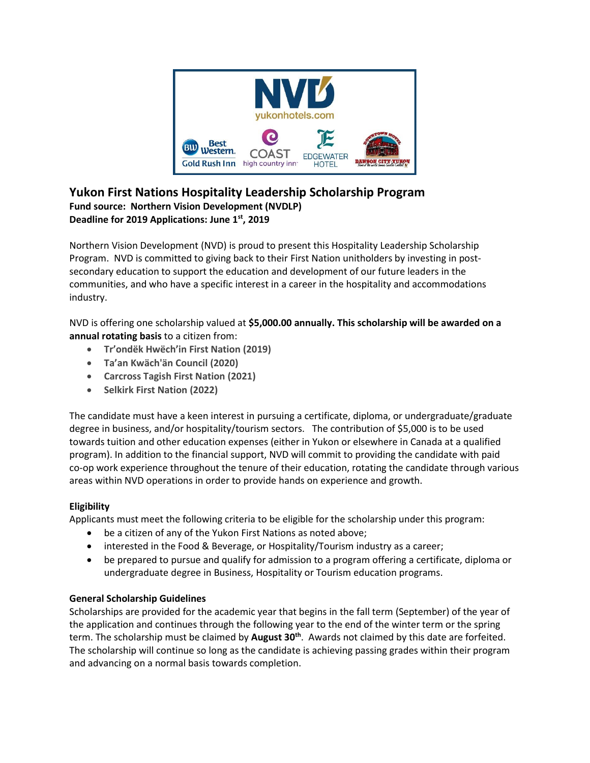

# **Yukon First Nations Hospitality Leadership Scholarship Program Fund source: Northern Vision Development (NVDLP) Deadline for 2019 Applications: June 1st, 2019**

Northern Vision Development (NVD) is proud to present this Hospitality Leadership Scholarship Program. NVD is committed to giving back to their First Nation unitholders by investing in postsecondary education to support the education and development of our future leaders in the communities, and who have a specific interest in a career in the hospitality and accommodations industry.

NVD is offering one scholarship valued at **\$5,000.00 annually. This scholarship will be awarded on a annual rotating basis** to a citizen from:

- **Tr'ondëk Hwëch'in First Nation (2019)**
- **Ta'an Kwäch'än Council (2020)**
- **Carcross Tagish First Nation (2021)**
- **Selkirk First Nation (2022)**

The candidate must have a keen interest in pursuing a certificate, diploma, or undergraduate/graduate degree in business, and/or hospitality/tourism sectors. The contribution of \$5,000 is to be used towards tuition and other education expenses (either in Yukon or elsewhere in Canada at a qualified program). In addition to the financial support, NVD will commit to providing the candidate with paid co-op work experience throughout the tenure of their education, rotating the candidate through various areas within NVD operations in order to provide hands on experience and growth.

## **Eligibility**

Applicants must meet the following criteria to be eligible for the scholarship under this program:

- be a citizen of any of the Yukon First Nations as noted above;
- interested in the Food & Beverage, or Hospitality/Tourism industry as a career;
- be prepared to pursue and qualify for admission to a program offering a certificate, diploma or undergraduate degree in Business, Hospitality or Tourism education programs.

#### **General Scholarship Guidelines**

Scholarships are provided for the academic year that begins in the fall term (September) of the year of the application and continues through the following year to the end of the winter term or the spring term. The scholarship must be claimed by **August 30th** . Awards not claimed by this date are forfeited. The scholarship will continue so long as the candidate is achieving passing grades within their program and advancing on a normal basis towards completion.